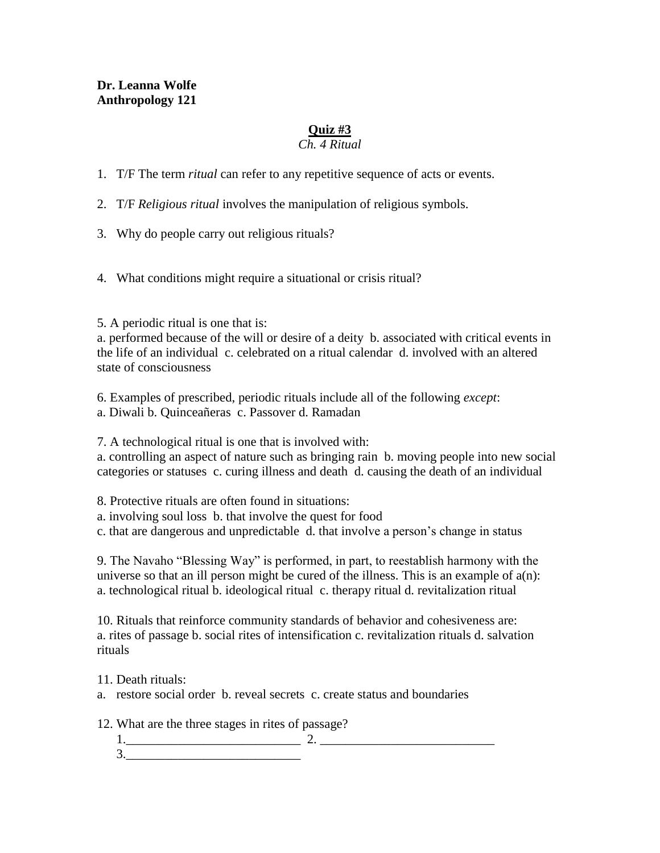### **Dr. Leanna Wolfe Anthropology 121**

# **Quiz #3**

# *Ch. 4 Ritual*

1. T/F The term *ritual* can refer to any repetitive sequence of acts or events.

2. T/F *Religious ritual* involves the manipulation of religious symbols.

3. Why do people carry out religious rituals?

4. What conditions might require a situational or crisis ritual?

5. A periodic ritual is one that is:

a. performed because of the will or desire of a deity b. associated with critical events in the life of an individual c. celebrated on a ritual calendar d. involved with an altered state of consciousness

6. Examples of prescribed, periodic rituals include all of the following *except*: a. Diwali b. Quinceañeras c. Passover d. Ramadan

7. A technological ritual is one that is involved with:

a. controlling an aspect of nature such as bringing rain b. moving people into new social categories or statuses c. curing illness and death d. causing the death of an individual

8. Protective rituals are often found in situations:

a. involving soul loss b. that involve the quest for food

c. that are dangerous and unpredictable d. that involve a person's change in status

9. The Navaho "Blessing Way" is performed, in part, to reestablish harmony with the universe so that an ill person might be cured of the illness. This is an example of  $a(n)$ : a. technological ritual b. ideological ritual c. therapy ritual d. revitalization ritual

10. Rituals that reinforce community standards of behavior and cohesiveness are: a. rites of passage b. social rites of intensification c. revitalization rituals d. salvation rituals

11. Death rituals:

a. restore social order b. reveal secrets c. create status and boundaries

12. What are the three stages in rites of passage?

1.\_\_\_\_\_\_\_\_\_\_\_\_\_\_\_\_\_\_\_\_\_\_\_\_\_\_\_ 2. \_\_\_\_\_\_\_\_\_\_\_\_\_\_\_\_\_\_\_\_\_\_\_\_\_\_\_  $3.$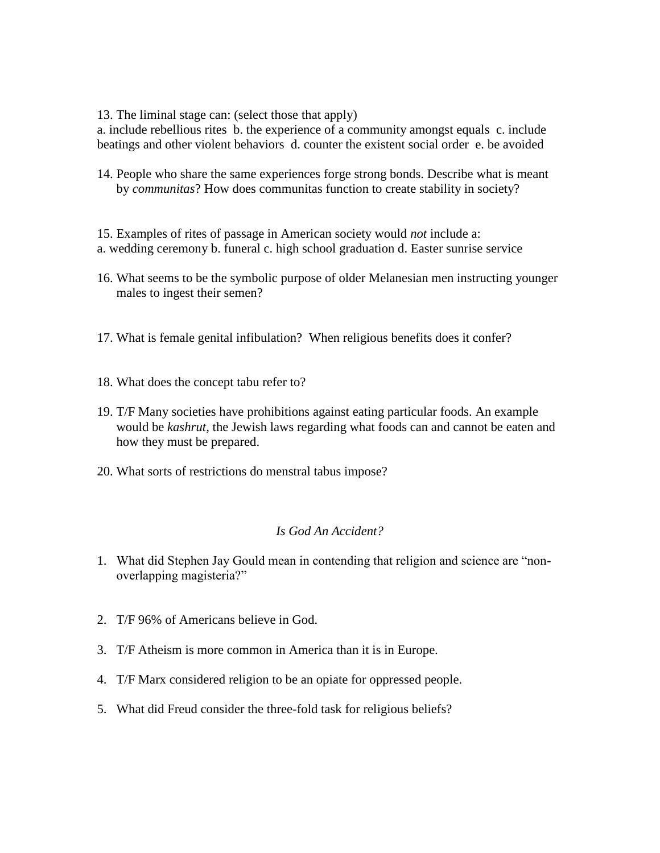13. The liminal stage can: (select those that apply)

a. include rebellious rites b. the experience of a community amongst equals c. include beatings and other violent behaviors d. counter the existent social order e. be avoided

14. People who share the same experiences forge strong bonds. Describe what is meant by *communitas*? How does communitas function to create stability in society?

15. Examples of rites of passage in American society would *not* include a: a. wedding ceremony b. funeral c. high school graduation d. Easter sunrise service

- 16. What seems to be the symbolic purpose of older Melanesian men instructing younger males to ingest their semen?
- 17. What is female genital infibulation? When religious benefits does it confer?
- 18. What does the concept tabu refer to?
- 19. T/F Many societies have prohibitions against eating particular foods. An example would be *kashrut,* the Jewish laws regarding what foods can and cannot be eaten and how they must be prepared.
- 20. What sorts of restrictions do menstral tabus impose?

#### *Is God An Accident?*

- 1. What did Stephen Jay Gould mean in contending that religion and science are "nonoverlapping magisteria?"
- 2. T/F 96% of Americans believe in God.
- 3. T/F Atheism is more common in America than it is in Europe.
- 4. T/F Marx considered religion to be an opiate for oppressed people.
- 5. What did Freud consider the three-fold task for religious beliefs?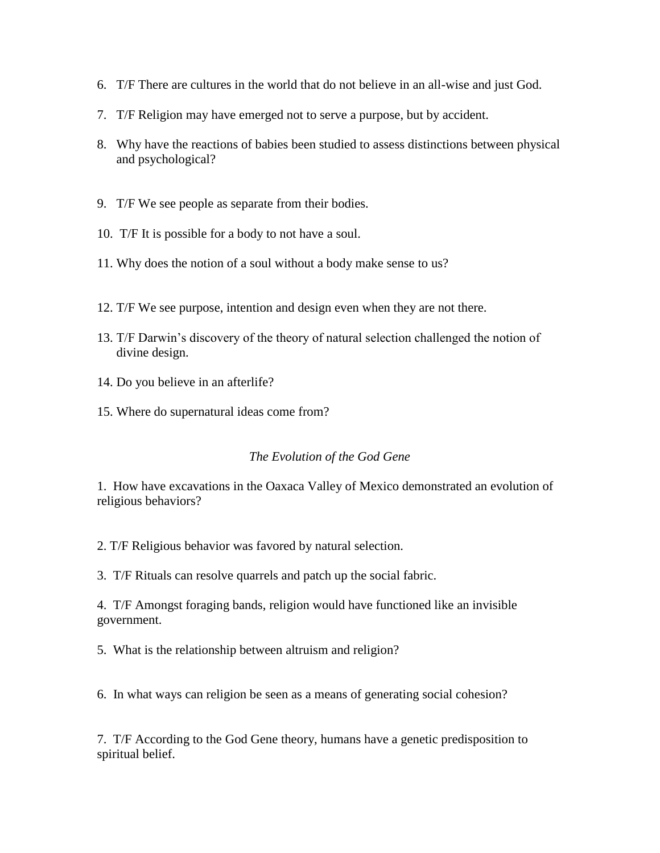- 6. T/F There are cultures in the world that do not believe in an all-wise and just God.
- 7. T/F Religion may have emerged not to serve a purpose, but by accident.
- 8. Why have the reactions of babies been studied to assess distinctions between physical and psychological?
- 9. T/F We see people as separate from their bodies.
- 10. T/F It is possible for a body to not have a soul.
- 11. Why does the notion of a soul without a body make sense to us?
- 12. T/F We see purpose, intention and design even when they are not there.
- 13. T/F Darwin's discovery of the theory of natural selection challenged the notion of divine design.
- 14. Do you believe in an afterlife?
- 15. Where do supernatural ideas come from?

#### *The Evolution of the God Gene*

1. How have excavations in the Oaxaca Valley of Mexico demonstrated an evolution of religious behaviors?

2. T/F Religious behavior was favored by natural selection.

3. T/F Rituals can resolve quarrels and patch up the social fabric.

4. T/F Amongst foraging bands, religion would have functioned like an invisible government.

5. What is the relationship between altruism and religion?

6. In what ways can religion be seen as a means of generating social cohesion?

7. T/F According to the God Gene theory, humans have a genetic predisposition to spiritual belief.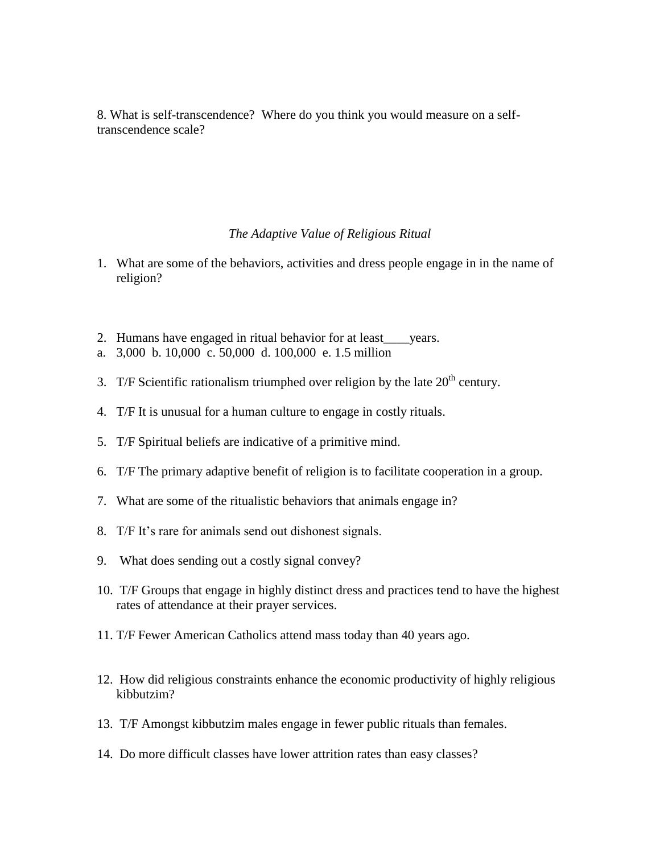8. What is self-transcendence? Where do you think you would measure on a selftranscendence scale?

#### *The Adaptive Value of Religious Ritual*

- 1. What are some of the behaviors, activities and dress people engage in in the name of religion?
- 2. Humans have engaged in ritual behavior for at least\_\_\_\_years.
- a. 3,000 b. 10,000 c. 50,000 d. 100,000 e. 1.5 million
- 3. T/F Scientific rationalism triumphed over religion by the late  $20<sup>th</sup>$  century.
- 4. T/F It is unusual for a human culture to engage in costly rituals.
- 5. T/F Spiritual beliefs are indicative of a primitive mind.
- 6. T/F The primary adaptive benefit of religion is to facilitate cooperation in a group.
- 7. What are some of the ritualistic behaviors that animals engage in?
- 8. T/F It's rare for animals send out dishonest signals.
- 9. What does sending out a costly signal convey?
- 10. T/F Groups that engage in highly distinct dress and practices tend to have the highest rates of attendance at their prayer services.
- 11. T/F Fewer American Catholics attend mass today than 40 years ago.
- 12. How did religious constraints enhance the economic productivity of highly religious kibbutzim?
- 13. T/F Amongst kibbutzim males engage in fewer public rituals than females.
- 14. Do more difficult classes have lower attrition rates than easy classes?